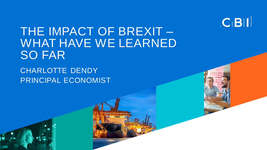

# THE IMPACT OF BREXIT – WHAT HAVE WE LEARNED SO FAR

CHARLOTTE DENDY PRINCIPAL ECONOMIST

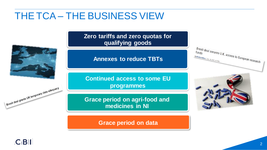#### THE TCA – THE BUSINESS VIEW

**Zero tariffs and zero quotas for qualifying goods**

**Annexes to reduce TBTs**

**Continued access to some EU programmes** 

**Grace period on agri-food and medicines in NI**

**Grace period on data**







Brexit deal grants UK temporary data adequacy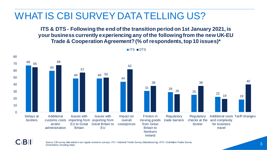### WHAT IS CBI SURVEY DATA TELLING US?

**ITS & DTS - Following the end of the transition period on 1st January 2021, is your business currently experiencing any of the following from the new UK-EU Trade & Cooperation Agreement? (% of respondents, top 10 issues)\***



**ITS INDTS** 

#### $C$ **BII**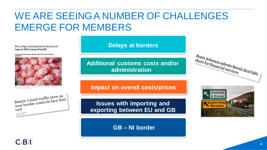## WE ARE SEEING A NUMBER OF CHALLENGES EMERGE FOR MEMBERS

Percy Pigs in Ireland hit by Brexit red tape as M&S warns of tariffs

Sweets are among retailer's products affected by 'rules of origin'



Brexit: Calais traffic slow as Brexit: Calais traffic slow as<br>new border controls face first test

**Delays at borders**

**Additional customs costs and/or administration**

**Impact on overall costs/prices**

**Issues with importing and exporting between EU and GB**

**GB – NI border**